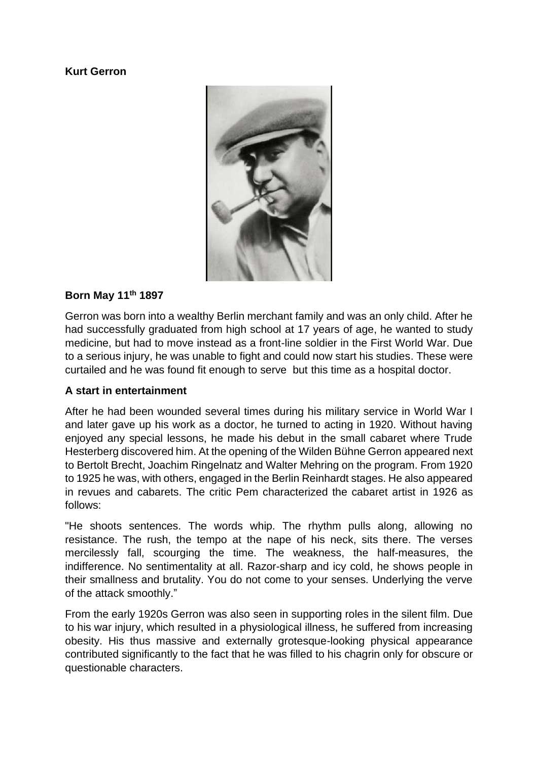#### **Kurt Gerron**



#### **Born May 11th 1897**

Gerron was born into a wealthy Berlin merchant family and was an only child. After he had successfully graduated from high school at 17 years of age, he wanted to study medicine, but had to move instead as a front-line soldier in the First World War. Due to a serious injury, he was unable to fight and could now start his studies. These were curtailed and he was found fit enough to serve but this time as a hospital doctor.

#### **A start in entertainment**

After he had been wounded several times during his military service in World War I and later gave up his work as a doctor, he turned to acting in 1920. Without having enjoyed any special lessons, he made his debut in the small cabaret where Trude Hesterberg discovered him. At the opening of the Wilden Bühne Gerron appeared next to Bertolt Brecht, Joachim Ringelnatz and Walter Mehring on the program. From 1920 to 1925 he was, with others, engaged in the Berlin Reinhardt stages. He also appeared in revues and cabarets. The critic Pem characterized the cabaret artist in 1926 as follows:

"He shoots sentences. The words whip. The rhythm pulls along, allowing no resistance. The rush, the tempo at the nape of his neck, sits there. The verses mercilessly fall, scourging the time. The weakness, the half-measures, the indifference. No sentimentality at all. Razor-sharp and icy cold, he shows people in their smallness and brutality. You do not come to your senses. Underlying the verve of the attack smoothly."

From the early 1920s Gerron was also seen in supporting roles in the silent film. Due to his war injury, which resulted in a physiological illness, he suffered from increasing obesity. His thus massive and externally grotesque-looking physical appearance contributed significantly to the fact that he was filled to his chagrin only for obscure or questionable characters.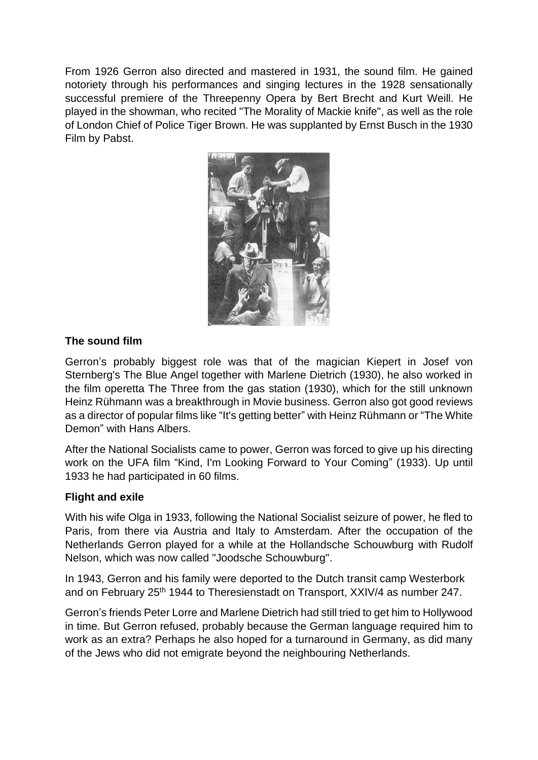From 1926 Gerron also directed and mastered in 1931, the sound film. He gained notoriety through his performances and singing lectures in the 1928 sensationally successful premiere of the Threepenny Opera by Bert Brecht and Kurt Weill. He played in the showman, who recited "The Morality of Mackie knife", as well as the role of London Chief of Police Tiger Brown. He was supplanted by Ernst Busch in the 1930 Film by Pabst.



#### **The sound film**

Gerron's probably biggest role was that of the magician Kiepert in Josef von Sternberg's The Blue Angel together with Marlene Dietrich (1930), he also worked in the film operetta The Three from the gas station (1930), which for the still unknown Heinz Rühmann was a breakthrough in Movie business. Gerron also got good reviews as a director of popular films like "It's getting better" with Heinz Rühmann or "The White Demon" with Hans Albers.

After the National Socialists came to power, Gerron was forced to give up his directing work on the UFA film "Kind, I'm Looking Forward to Your Coming" (1933). Up until 1933 he had participated in 60 films.

#### **Flight and exile**

With his wife Olga in 1933, following the National Socialist seizure of power, he fled to Paris, from there via Austria and Italy to Amsterdam. After the occupation of the Netherlands Gerron played for a while at the Hollandsche Schouwburg with Rudolf Nelson, which was now called "Joodsche Schouwburg".

In 1943, Gerron and his family were deported to the Dutch transit camp Westerbork and on February 25<sup>th</sup> 1944 to Theresienstadt on Transport, XXIV/4 as number 247.

Gerron's friends Peter Lorre and Marlene Dietrich had still tried to get him to Hollywood in time. But Gerron refused, probably because the German language required him to work as an extra? Perhaps he also hoped for a turnaround in Germany, as did many of the Jews who did not emigrate beyond the neighbouring Netherlands.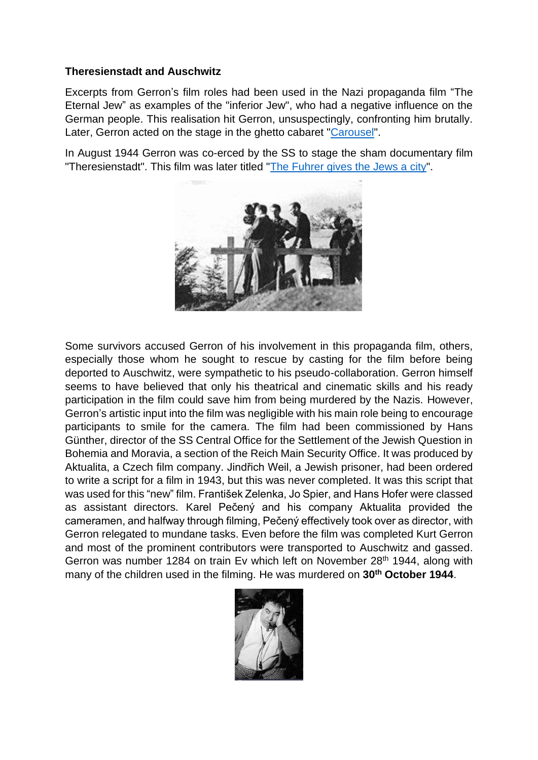#### **Theresienstadt and Auschwitz**

Excerpts from Gerron's film roles had been used in the Nazi propaganda film "The Eternal Jew" as examples of the "inferior Jew", who had a negative influence on the German people. This realisation hit Gerron, unsuspectingly, confronting him brutally. Later, Gerron acted on the stage in the ghetto cabaret ["Carousel"](https://youtu.be/nl5BK7k5Gpg).

In August 1944 Gerron was co-erced by the SS to stage the sham documentary film "Theresienstadt". This film was later titled "The Fuhrer [gives the Jews a city"](https://youtu.be/_Rkjyw4003Q).



Some survivors accused Gerron of his involvement in this propaganda film, others, especially those whom he sought to rescue by casting for the film before being deported to Auschwitz, were sympathetic to his pseudo-collaboration. Gerron himself seems to have believed that only his theatrical and cinematic skills and his ready participation in the film could save him from being murdered by the Nazis. However, Gerron's artistic input into the film was negligible with his main role being to encourage participants to smile for the camera. The film had been commissioned by Hans Günther, director of the SS Central Office for the Settlement of the Jewish Question in Bohemia and Moravia, a section of the Reich Main Security Office. It was produced by Aktualita, a Czech film company. Jindřich Weil, a Jewish prisoner, had been ordered to write a script for a film in 1943, but this was never completed. It was this script that was used for this "new" film. František Zelenka, Jo Spier, and Hans Hofer were classed as assistant directors. Karel Pečený and his company Aktualita provided the cameramen, and halfway through filming, Pečený effectively took over as director, with Gerron relegated to mundane tasks. Even before the film was completed Kurt Gerron and most of the prominent contributors were transported to Auschwitz and gassed. Gerron was number 1284 on train Ev which left on November 28<sup>th</sup> 1944, along with many of the children used in the filming. He was murdered on **30th October 1944**.

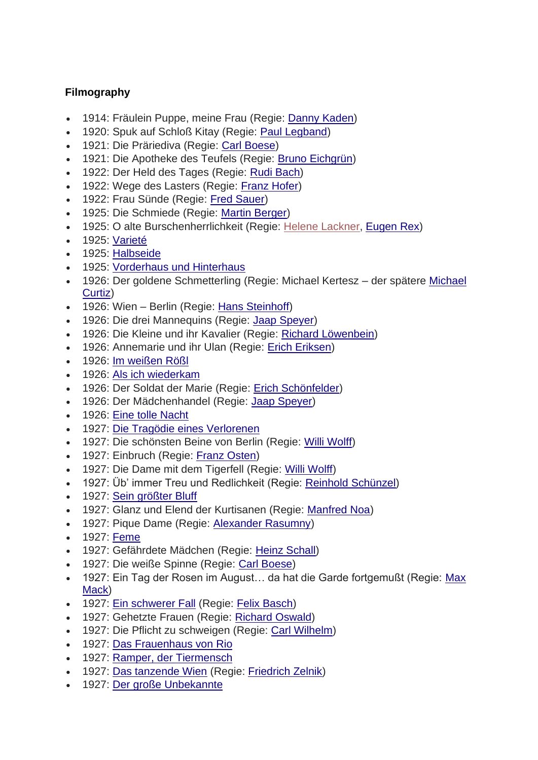### **Filmography**

- 1914: Fräulein Puppe, meine Frau (Regie: [Danny Kaden\)](https://de.wikipedia.org/wiki/Danny_Kaden)
- 1920: Spuk auf Schloß Kitay (Regie: [Paul Legband\)](https://de.wikipedia.org/wiki/Paul_Legband)
- 1921: Die Präriediva (Regie: [Carl Boese\)](https://de.wikipedia.org/wiki/Carl_Boese)
- 1921: Die Apotheke des Teufels (Regie: [Bruno Eichgrün\)](https://de.wikipedia.org/wiki/Bruno_Eichgr%C3%BCn)
- 1922: Der Held des Tages (Regie: [Rudi Bach\)](https://de.wikipedia.org/wiki/Rudi_Bach)
- 1922: Wege des Lasters (Regie: [Franz Hofer\)](https://de.wikipedia.org/wiki/Franz_Hofer_(Filmregisseur))
- 1922: Frau Sünde (Regie: [Fred Sauer\)](https://de.wikipedia.org/wiki/Fred_Sauer)
- 1925: Die Schmiede (Regie: [Martin Berger\)](https://de.wikipedia.org/wiki/Martin_Berger_(Filmregisseur))
- 1925: O alte Burschenherrlichkeit (Regie: [Helene Lackner,](https://de.wikipedia.org/w/index.php?title=Helene_Lackner&action=edit&redlink=1) [Eugen Rex\)](https://de.wikipedia.org/wiki/Eugen_Rex)
- 1925: [Varieté](https://de.wikipedia.org/wiki/Variet%C3%A9_(Film))
- 1925: [Halbseide](https://de.wikipedia.org/wiki/Halbseide_(Film))
- 1925: [Vorderhaus und Hinterhaus](https://de.wikipedia.org/wiki/Vorderhaus_und_Hinterhaus)
- 1926: Der goldene Schmetterling (Regie: Michael Kertesz der spätere [Michael](https://de.wikipedia.org/wiki/Michael_Curtiz)  [Curtiz\)](https://de.wikipedia.org/wiki/Michael_Curtiz)
- 1926: Wien Berlin (Regie: [Hans Steinhoff\)](https://de.wikipedia.org/wiki/Hans_Steinhoff)
- 1926: Die drei Mannequins (Regie: [Jaap Speyer\)](https://de.wikipedia.org/wiki/Jaap_Speyer)
- 1926: Die Kleine und ihr Kavalier (Regie: [Richard Löwenbein\)](https://de.wikipedia.org/wiki/Richard_L%C3%B6wenbein)
- 1926: Annemarie und ihr Ulan (Regie: [Erich Eriksen\)](https://de.wikipedia.org/wiki/Erich_Eriksen)
- 1926: [Im weißen Rößl](https://de.wikipedia.org/wiki/Im_wei%C3%9Fen_R%C3%B6%C3%9Fl_(1926))
- 1926: [Als ich wiederkam](https://de.wikipedia.org/wiki/Als_ich_wiederkam)
- 1926: Der Soldat der Marie (Regie: [Erich Schönfelder\)](https://de.wikipedia.org/wiki/Erich_Sch%C3%B6nfelder)
- 1926: Der Mädchenhandel (Regie: Jaap [Speyer\)](https://de.wikipedia.org/wiki/Jaap_Speyer)
- 1926: [Eine tolle Nacht](https://de.wikipedia.org/wiki/Eine_tolle_Nacht_(1926))
- 1927: Die [Tragödie eines Verlorenen](https://de.wikipedia.org/wiki/Die_Trag%C3%B6die_eines_Verlorenen)
- 1927: Die schönsten Beine von Berlin (Regie: [Willi Wolff\)](https://de.wikipedia.org/wiki/Willi_Wolff)
- 1927: Einbruch (Regie: [Franz Osten\)](https://de.wikipedia.org/wiki/Franz_Osten)
- 1927: Die Dame mit dem Tigerfell (Regie: [Willi Wolff\)](https://de.wikipedia.org/wiki/Willi_Wolff)
- 1927: Üb' immer Treu und Redlichkeit (Regie: [Reinhold Schünzel\)](https://de.wikipedia.org/wiki/Reinhold_Sch%C3%BCnzel)
- 1927: [Sein größter Bluff](https://de.wikipedia.org/wiki/Sein_gr%C3%B6%C3%9Fter_Bluff_(1927))
- 1927: Glanz und Elend der Kurtisanen (Regie: [Manfred Noa\)](https://de.wikipedia.org/wiki/Manfred_Noa)
- 1927: Pique Dame (Regie: [Alexander Rasumny\)](https://de.wikipedia.org/wiki/Alexander_Rasumny)
- 1927: [Feme](https://de.wikipedia.org/wiki/Feme_(1927))
- 1927: Gefährdete Mädchen (Regie: [Heinz Schall\)](https://de.wikipedia.org/wiki/Heinz_Schall)
- 1927: Die weiße Spinne (Regie: [Carl Boese\)](https://de.wikipedia.org/wiki/Carl_Boese)
- 1927: Ein Tag der Rosen im August… da hat die Garde fortgemußt (Regie: [Max](https://de.wikipedia.org/wiki/Max_Mack)  [Mack\)](https://de.wikipedia.org/wiki/Max_Mack)
- 1927: [Ein schwerer Fall](https://de.wikipedia.org/wiki/Ein_schwerer_Fall) (Regie: [Felix Basch\)](https://de.wikipedia.org/wiki/Felix_Basch)
- 1927: Gehetzte Frauen (Regie: [Richard Oswald\)](https://de.wikipedia.org/wiki/Richard_Oswald)
- 1927: Die Pflicht zu schweigen (Regie: [Carl Wilhelm\)](https://de.wikipedia.org/wiki/Carl_Wilhelm_(Regisseur))
- 1927: [Das Frauenhaus von Rio](https://de.wikipedia.org/wiki/Das_Frauenhaus_von_Rio)
- 1927: [Ramper, der Tiermensch](https://de.wikipedia.org/wiki/Ramper,_der_Tiermensch)
- 1927: [Das tanzende Wien](https://de.wikipedia.org/wiki/Das_tanzende_Wien) (Regie: [Friedrich Zelnik\)](https://de.wikipedia.org/wiki/Friedrich_Zelnik)
- 1927: [Der große Unbekannte](https://de.wikipedia.org/wiki/Der_gro%C3%9Fe_Unbekannte_(1927))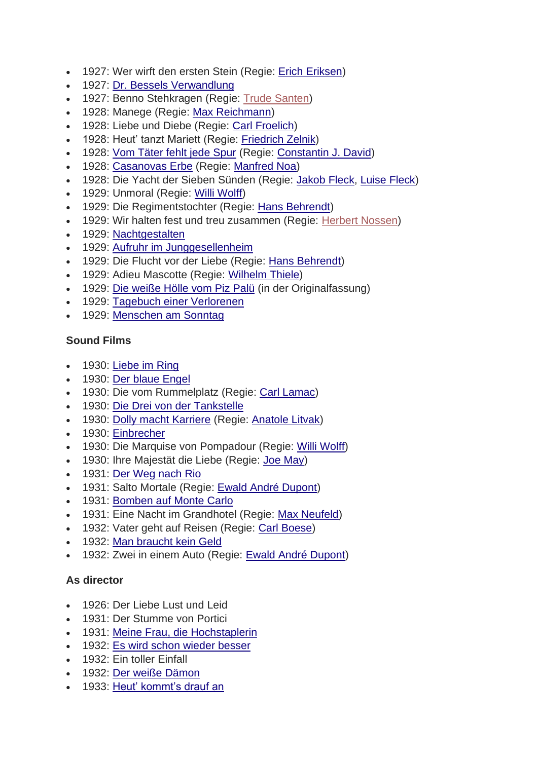- 1927: Wer wirft den ersten Stein (Regie: [Erich Eriksen\)](https://de.wikipedia.org/wiki/Erich_Eriksen)
- 1927: [Dr. Bessels Verwandlung](https://de.wikipedia.org/wiki/Dr._Bessels_Verwandlung)
- 1927: Benno Stehkragen (Regie: [Trude Santen\)](https://de.wikipedia.org/w/index.php?title=Trude_Santen&action=edit&redlink=1)
- 1928: Manege (Regie: [Max Reichmann\)](https://de.wikipedia.org/wiki/Max_Reichmann)
- 1928: Liebe und Diebe (Regie: [Carl Froelich\)](https://de.wikipedia.org/wiki/Carl_Froelich)
- 1928: Heut' tanzt Mariett (Regie: [Friedrich Zelnik\)](https://de.wikipedia.org/wiki/Friedrich_Zelnik)
- 1928: [Vom Täter fehlt jede Spur](https://de.wikipedia.org/wiki/Vom_T%C3%A4ter_fehlt_jede_Spur_(1928)) (Regie: [Constantin J. David\)](https://de.wikipedia.org/wiki/Constantin_J._David)
- 1928: [Casanovas Erbe](https://de.wikipedia.org/wiki/Casanovas_Erbe) (Regie: [Manfred Noa\)](https://de.wikipedia.org/wiki/Manfred_Noa)
- 1928: Die Yacht der Sieben Sünden (Regie: [Jakob Fleck,](https://de.wikipedia.org/wiki/Jakob_Fleck) [Luise Fleck\)](https://de.wikipedia.org/wiki/Luise_Fleck)
- 1929: Unmoral (Regie: [Willi Wolff\)](https://de.wikipedia.org/wiki/Willi_Wolff)
- 1929: Die Regimentstochter (Regie: [Hans Behrendt\)](https://de.wikipedia.org/wiki/Hans_Behrendt)
- 1929: Wir halten fest und treu zusammen (Regie: [Herbert Nossen\)](https://de.wikipedia.org/w/index.php?title=Herbert_Nossen&action=edit&redlink=1)
- 1929: [Nachtgestalten](https://de.wikipedia.org/wiki/Nachtgestalten_(1929))
- 1929: [Aufruhr im Junggesellenheim](https://de.wikipedia.org/wiki/Aufruhr_im_Junggesellenheim)
- 1929: Die Flucht vor der Liebe (Regie: [Hans Behrendt\)](https://de.wikipedia.org/wiki/Hans_Behrendt)
- 1929: Adieu Mascotte (Regie: [Wilhelm Thiele\)](https://de.wikipedia.org/wiki/Wilhelm_Thiele)
- 1929: [Die weiße Hölle vom Piz Palü](https://de.wikipedia.org/wiki/Die_wei%C3%9Fe_H%C3%B6lle_vom_Piz_Pal%C3%BC) (in der Originalfassung)
- 1929: [Tagebuch einer Verlorenen](https://de.wikipedia.org/wiki/Tagebuch_einer_Verlorenen_(1929))
- 1929: [Menschen am Sonntag](https://de.wikipedia.org/wiki/Menschen_am_Sonntag)

## **Sound Films**

- 1930: [Liebe im Ring](https://de.wikipedia.org/wiki/Liebe_im_Ring)
- 1930: [Der blaue Engel](https://de.wikipedia.org/wiki/Der_blaue_Engel)
- 1930: Die vom Rummelplatz (Regie: [Carl Lamac\)](https://de.wikipedia.org/wiki/Carl_Lamac)
- 1930: [Die Drei von der Tankstelle](https://de.wikipedia.org/wiki/Die_Drei_von_der_Tankstelle_(1930))
- 1930: [Dolly macht Karriere](https://de.wikipedia.org/wiki/Dolly_macht_Karriere) (Regie: [Anatole Litvak\)](https://de.wikipedia.org/wiki/Anatole_Litvak)
- 1930: [Einbrecher](https://de.wikipedia.org/wiki/Einbrecher_(Film))
- 1930: Die Marquise von Pompadour (Regie: [Willi Wolff\)](https://de.wikipedia.org/wiki/Willi_Wolff)
- 1930: Ihre Maiestät die Liebe (Regie: [Joe May\)](https://de.wikipedia.org/wiki/Joe_May)
- 1931: [Der Weg nach Rio](https://de.wikipedia.org/wiki/Der_Weg_nach_Rio_(1931))
- 1931: Salto Mortale (Regie: [Ewald André Dupont\)](https://de.wikipedia.org/wiki/Ewald_Andr%C3%A9_Dupont)
- 1931: [Bomben auf Monte Carlo](https://de.wikipedia.org/wiki/Bomben_auf_Monte_Carlo)
- 1931: Eine Nacht im Grandhotel (Regie: [Max Neufeld\)](https://de.wikipedia.org/wiki/Max_Neufeld)
- 1932: Vater geht auf Reisen (Regie: [Carl Boese\)](https://de.wikipedia.org/wiki/Carl_Boese)
- 1932: [Man braucht kein Geld](https://de.wikipedia.org/wiki/Man_braucht_kein_Geld)
- 1932: Zwei in einem Auto (Regie: [Ewald André Dupont\)](https://de.wikipedia.org/wiki/Ewald_Andr%C3%A9_Dupont)

## **As director**

- 1926: Der Liebe Lust und Leid
- 1931: Der Stumme von Portici
- 1931: [Meine Frau, die Hochstaplerin](https://de.wikipedia.org/wiki/Meine_Frau,_die_Hochstaplerin)
- 1932: [Es wird schon wieder besser](https://de.wikipedia.org/wiki/Es_wird_schon_wieder_besser)
- 1932: Ein toller Einfall
- 1932: [Der weiße Dämon](https://de.wikipedia.org/wiki/Der_wei%C3%9Fe_D%C3%A4mon)
- 1933: [Heut' kommt's drauf an](https://de.wikipedia.org/wiki/Heut%E2%80%99_kommt%E2%80%99s_drauf_an)